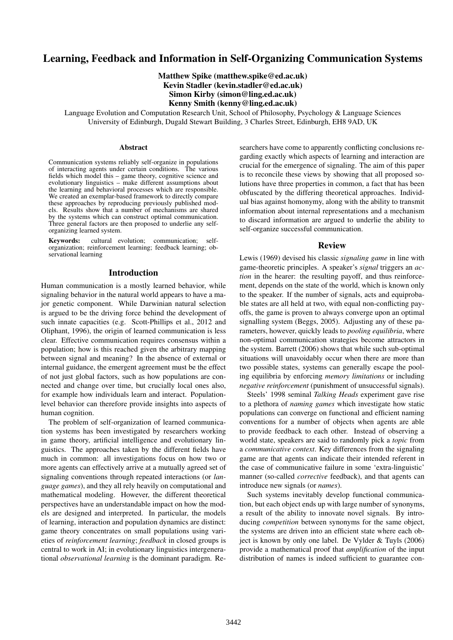# Learning, Feedback and Information in Self-Organizing Communication Systems

Matthew Spike (matthew.spike@ed.ac.uk) Kevin Stadler (kevin.stadler@ed.ac.uk) Simon Kirby (simon@ling.ed.ac.uk) Kenny Smith (kenny@ling.ed.ac.uk)

Language Evolution and Computation Research Unit, School of Philosophy, Psychology & Language Sciences University of Edinburgh, Dugald Stewart Building, 3 Charles Street, Edinburgh, EH8 9AD, UK

#### Abstract

Communication systems reliably self-organize in populations of interacting agents under certain conditions. The various fields which model this – game theory, cognitive science and evolutionary linguistics – make different assumptions about the learning and behavioral processes which are responsible. We created an exemplar-based framework to directly compare these approaches by reproducing previously published models. Results show that a number of mechanisms are shared by the systems which can construct optimal communication. Three general factors are then proposed to underlie any selforganizing learned system.

Keywords: cultural evolution; communication; selforganization; reinforcement learning; feedback learning; observational learning

#### Introduction

Human communication is a mostly learned behavior, while signaling behavior in the natural world appears to have a major genetic component. While Darwinian natural selection is argued to be the driving force behind the development of such innate capacities (e.g. Scott-Phillips et al., 2012 and Oliphant, 1996), the origin of learned communication is less clear. Effective communication requires consensus within a population; how is this reached given the arbitrary mapping between signal and meaning? In the absence of external or internal guidance, the emergent agreement must be the effect of not just global factors, such as how populations are connected and change over time, but crucially local ones also, for example how individuals learn and interact. Populationlevel behavior can therefore provide insights into aspects of human cognition.

The problem of self-organization of learned communication systems has been investigated by researchers working in game theory, artificial intelligence and evolutionary linguistics. The approaches taken by the different fields have much in common: all investigations focus on how two or more agents can effectively arrive at a mutually agreed set of signaling conventions through repeated interactions (or *language games*), and they all rely heavily on computational and mathematical modeling. However, the different theoretical perspectives have an understandable impact on how the models are designed and interpreted. In particular, the models of learning, interaction and population dynamics are distinct: game theory concentrates on small populations using varieties of *reinforcement learning*; *feedback* in closed groups is central to work in AI; in evolutionary linguistics intergenerational *observational learning* is the dominant paradigm. Researchers have come to apparently conflicting conclusions regarding exactly which aspects of learning and interaction are crucial for the emergence of signaling. The aim of this paper is to reconcile these views by showing that all proposed solutions have three properties in common, a fact that has been obfuscated by the differing theoretical approaches. Individual bias against homonymy, along with the ability to transmit information about internal representations and a mechanism to discard information are argued to underlie the ability to self-organize successful communication.

#### Review

Lewis (1969) devised his classic *signaling game* in line with game-theoretic principles. A speaker's *signal* triggers an *action* in the hearer: the resulting payoff, and thus reinforcement, depends on the state of the world, which is known only to the speaker. If the number of signals, acts and equiprobable states are all held at two, with equal non-conflicting payoffs, the game is proven to always converge upon an optimal signalling system (Beggs, 2005). Adjusting any of these parameters, however, quickly leads to *pooling equilibria*, where non-optimal communication strategies become attractors in the system. Barrett (2006) shows that while such sub-optimal situations will unavoidably occur when there are more than two possible states, systems can generally escape the pooling equilibria by enforcing *memory limitations* or including *negative reinforcement* (punishment of unsuccessful signals).

Steels' 1998 seminal *Talking Heads* experiment gave rise to a plethora of *naming games* which investigate how static populations can converge on functional and efficient naming conventions for a number of objects when agents are able to provide feedback to each other. Instead of observing a world state, speakers are said to randomly pick a *topic* from a *communicative context*. Key differences from the signaling game are that agents can indicate their intended referent in the case of communicative failure in some 'extra-linguistic' manner (so-called *corrective* feedback), and that agents can introduce new signals (or *names*).

Such systems inevitably develop functional communication, but each object ends up with large number of synonyms, a result of the ability to innovate novel signals. By introducing *competition* between synonyms for the same object, the systems are driven into an efficient state where each object is known by only one label. De Vylder & Tuyls (2006) provide a mathematical proof that *amplification* of the input distribution of names is indeed sufficient to guarantee con-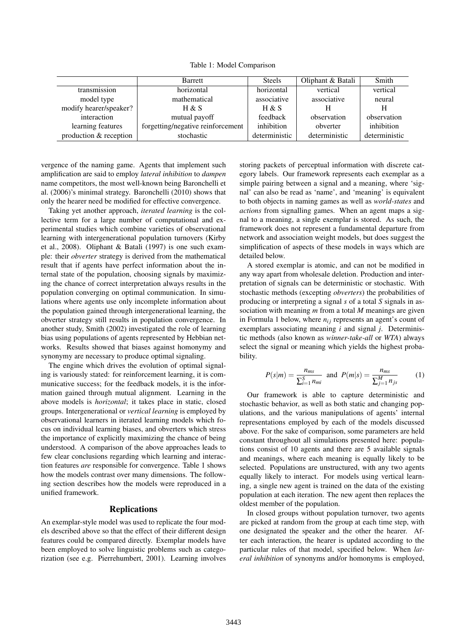Table 1: Model Comparison

|                        | <b>Barrett</b>                    | <b>Steels</b> | Oliphant & Batali | Smith         |
|------------------------|-----------------------------------|---------------|-------------------|---------------|
| transmission           | horizontal                        | horizontal    | vertical          | vertical      |
| model type             | mathematical                      | associative   | associative       | neural        |
| modify hearer/speaker? | H & S                             | H & S         | Н                 | H             |
| interaction            | mutual payoff                     | feedback      | observation       | observation   |
| learning features      | forgetting/negative reinforcement | inhibition    | obverter          | inhibition    |
| production & reception | stochastic                        | deterministic | deterministic     | deterministic |

vergence of the naming game. Agents that implement such amplification are said to employ *lateral inhibition* to *dampen* name competitors, the most well-known being Baronchelli et al. (2006)'s minimal strategy. Baronchelli (2010) shows that only the hearer need be modified for effective convergence.

Taking yet another approach, *iterated learning* is the collective term for a large number of computational and experimental studies which combine varieties of observational learning with intergenerational population turnovers (Kirby et al., 2008). Oliphant & Batali (1997) is one such example: their *obverter* strategy is derived from the mathematical result that if agents have perfect information about the internal state of the population, choosing signals by maximizing the chance of correct interpretation always results in the population converging on optimal communication. In simulations where agents use only incomplete information about the population gained through intergenerational learning, the obverter strategy still results in population convergence. In another study, Smith (2002) investigated the role of learning bias using populations of agents represented by Hebbian networks. Results showed that biases against homonymy and synonymy are necessary to produce optimal signaling.

The engine which drives the evolution of optimal signaling is variously stated: for reinforcement learning, it is communicative success; for the feedback models, it is the information gained through mutual alignment. Learning in the above models is *horizontal*; it takes place in static, closed groups. Intergenerational or *vertical learning* is employed by observational learners in iterated learning models which focus on individual learning biases, and obverters which stress the importance of explicitly maximizing the chance of being understood. A comparison of the above approaches leads to few clear conclusions regarding which learning and interaction features *are* responsible for convergence. Table 1 shows how the models contrast over many dimensions. The following section describes how the models were reproduced in a unified framework.

#### Replications

An exemplar-style model was used to replicate the four models described above so that the effect of their different design features could be compared directly. Exemplar models have been employed to solve linguistic problems such as categorization (see e.g. Pierrehumbert, 2001). Learning involves

storing packets of perceptual information with discrete category labels. Our framework represents each exemplar as a simple pairing between a signal and a meaning, where 'signal' can also be read as 'name', and 'meaning' is equivalent to both objects in naming games as well as *world-states* and *actions* from signalling games. When an agent maps a signal to a meaning, a single exemplar is stored. As such, the framework does not represent a fundamental departure from network and association weight models, but does suggest the simplification of aspects of these models in ways which are detailed below.

A stored exemplar is atomic, and can not be modified in any way apart from wholesale deletion. Production and interpretation of signals can be deterministic or stochastic. With stochastic methods (excepting *obverters*) the probabilities of producing or interpreting a signal *s* of a total *S* signals in association with meaning *m* from a total *M* meanings are given in Formula 1 below, where  $n_{ij}$  represents an agent's count of exemplars associating meaning *i* and signal *j*. Deterministic methods (also known as *winner-take-all* or *WTA*) always select the signal or meaning which yields the highest probability.

$$
P(s|m) = \frac{n_{ms}}{\sum_{i=1}^{S} n_{mi}} \text{ and } P(m|s) = \frac{n_{ms}}{\sum_{j=1}^{M} n_{js}} \qquad (1)
$$

Our framework is able to capture deterministic and stochastic behavior, as well as both static and changing populations, and the various manipulations of agents' internal representations employed by each of the models discussed above. For the sake of comparison, some parameters are held constant throughout all simulations presented here: populations consist of 10 agents and there are 5 available signals and meanings, where each meaning is equally likely to be selected. Populations are unstructured, with any two agents equally likely to interact. For models using vertical learning, a single new agent is trained on the data of the existing population at each iteration. The new agent then replaces the oldest member of the population.

In closed groups without population turnover, two agents are picked at random from the group at each time step, with one designated the speaker and the other the hearer. After each interaction, the hearer is updated according to the particular rules of that model, specified below. When *lateral inhibition* of synonyms and/or homonyms is employed,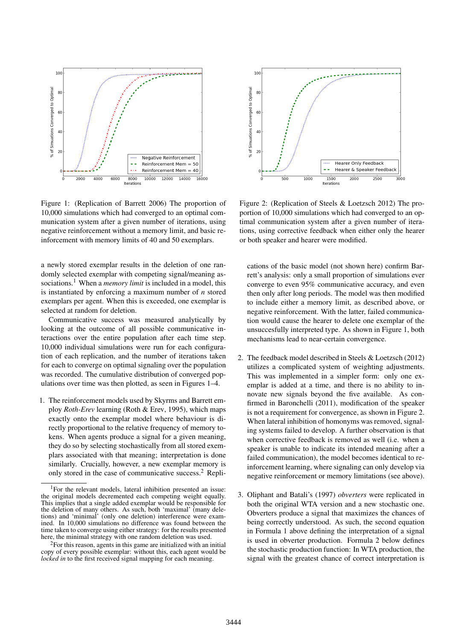

Figure 1: (Replication of Barrett 2006) The proportion of 10,000 simulations which had converged to an optimal communication system after a given number of iterations, using negative reinforcement without a memory limit, and basic reinforcement with memory limits of 40 and 50 exemplars.

a newly stored exemplar results in the deletion of one randomly selected exemplar with competing signal/meaning associations.<sup>1</sup> When a *memory limit* is included in a model, this is instantiated by enforcing a maximum number of *n* stored exemplars per agent. When this is exceeded, one exemplar is selected at random for deletion.

Communicative success was measured analytically by looking at the outcome of all possible communicative interactions over the entire population after each time step. 10,000 individual simulations were run for each configuration of each replication, and the number of iterations taken for each to converge on optimal signaling over the population was recorded. The cumulative distribution of converged populations over time was then plotted, as seen in Figures 1–4.

1. The reinforcement models used by Skyrms and Barrett employ *Roth-Erev* learning (Roth & Erev, 1995), which maps exactly onto the exemplar model where behaviour is directly proportional to the relative frequency of memory tokens. When agents produce a signal for a given meaning, they do so by selecting stochastically from all stored exemplars associated with that meaning; interpretation is done similarly. Crucially, however, a new exemplar memory is only stored in the case of communicative success.<sup>2</sup> Repli-



Figure 2: (Replication of Steels & Loetzsch 2012) The proportion of 10,000 simulations which had converged to an optimal communication system after a given number of iterations, using corrective feedback when either only the hearer or both speaker and hearer were modified.

cations of the basic model (not shown here) confirm Barrett's analysis: only a small proportion of simulations ever converge to even 95% communicative accuracy, and even then only after long periods. The model was then modified to include either a memory limit, as described above, or negative reinforcement. With the latter, failed communication would cause the hearer to delete one exemplar of the unsuccesfully interpreted type. As shown in Figure 1, both mechanisms lead to near-certain convergence.

- 2. The feedback model described in Steels & Loetzsch (2012) utilizes a complicated system of weighting adjustments. This was implemented in a simpler form: only one exemplar is added at a time, and there is no ability to innovate new signals beyond the five available. As confirmed in Baronchelli (2011), modification of the speaker is not a requirement for convergence, as shown in Figure 2. When lateral inhibition of homonyms was removed, signaling systems failed to develop. A further observation is that when corrective feedback is removed as well (i.e. when a speaker is unable to indicate its intended meaning after a failed communication), the model becomes identical to reinforcement learning, where signaling can only develop via negative reinforcement or memory limitations (see above).
- 3. Oliphant and Batali's (1997) *obverters* were replicated in both the original WTA version and a new stochastic one. Obverters produce a signal that maximizes the chances of being correctly understood. As such, the second equation in Formula 1 above defining the interpretation of a signal is used in obverter production. Formula 2 below defines the stochastic production function: In WTA production, the signal with the greatest chance of correct interpretation is

<sup>&</sup>lt;sup>1</sup>For the relevant models, lateral inhibition presented an issue: the original models decremented each competing weight equally. This implies that a single added exemplar would be responsible for the deletion of many others. As such, both 'maximal' (many deletions) and 'minimal' (only one deletion) interference were examined. In 10,000 simulations no difference was found between the time taken to converge using either strategy: for the results presented here, the minimal strategy with one random deletion was used.

<sup>&</sup>lt;sup>2</sup>For this reason, agents in this game are initialized with an initial copy of every possible exemplar: without this, each agent would be *locked in* to the first received signal mapping for each meaning.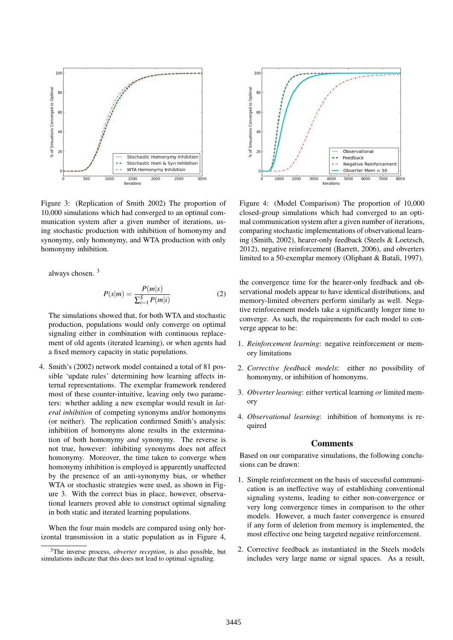

Figure 3: (Replication of Smith 2002) The proportion of 10,000 simulations which had converged to an optimal communication system after a given number of iterations, using stochastic production with inhibition of homonymy and synonymy, only homonymy, and WTA production with only homonymy inhibition.

always chosen. <sup>3</sup>

$$
P(s|m) = \frac{P(m|s)}{\sum_{i=1}^{S} P(m|i)}\tag{2}
$$

The simulations showed that, for both WTA and stochastic production, populations would only converge on optimal signaling either in combination with continuous replacement of old agents (iterated learning), or when agents had a fixed memory capacity in static populations.

4. Smith's (2002) network model contained a total of 81 possible 'update rules' determining how learning affects internal representations. The exemplar framework rendered most of these counter-intuitive, leaving only two parameters: whether adding a new exemplar would result in *lateral inhibition* of competing synonyms and/or homonyms (or neither). The replication confirmed Smith's analysis: inhibition of homonyms alone results in the extermination of both homonymy *and* synonymy. The reverse is not true, however: inhibiting synonyms does not affect homonymy. Moreover, the time taken to converge when homonymy inhibition is employed is apparently unaffected by the presence of an anti-synonymy bias, or whether WTA or stochastic strategies were used, as shown in Figure 3. With the correct bias in place, however, observational learners proved able to construct optimal signaling in both static and iterated learning populations.

When the four main models are compared using only horizontal transmission in a static population as in Figure 4,



Figure 4: (Model Comparison) The proportion of 10,000 closed-group simulations which had converged to an optimal communication system after a given number of iterations, comparing stochastic implementations of observational learning (Smith, 2002), hearer-only feedback (Steels & Loetzsch, 2012), negative reinforcement (Barrett, 2006), and obverters limited to a 50-exemplar memory (Oliphant & Batali, 1997).

the convergence time for the hearer-only feedback and observational models appear to have identical distributions, and memory-limited obverters perform similarly as well. Negative reinforcement models take a significantly longer time to converge. As such, the requirements for each model to converge appear to be:

- 1. *Reinforcement learning*: negative reinforcement or memory limitations
- 2. *Corrective feedback models*: either no possibility of homonymy, or inhibition of homonyms.
- 3. *Obverter learning*: either vertical learning *or* limited memory
- 4. *Observational learning*: inhibition of homonyms is required

#### Comments

Based on our comparative simulations, the following conclusions can be drawn:

- 1. Simple reinforcement on the basis of successful communication is an ineffective way of establishing conventional signaling systems, leading to either non-convergence or very long convergence times in comparison to the other models. However, a much faster convergence is ensured if any form of deletion from memory is implemented, the most effective one being targeted negative reinforcement.
- 2. Corrective feedback as instantiated in the Steels models includes very large name or signal spaces. As a result,

<sup>3</sup>The inverse process, *obverter reception*, is also possible, but simulations indicate that this does not lead to optimal signaling.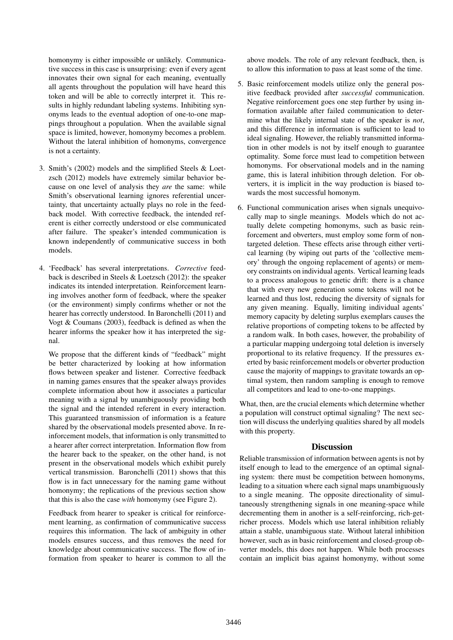homonymy is either impossible or unlikely. Communicative success in this case is unsurprising: even if every agent innovates their own signal for each meaning, eventually all agents throughout the population will have heard this token and will be able to correctly interpret it. This results in highly redundant labeling systems. Inhibiting synonyms leads to the eventual adoption of one-to-one mappings throughout a population. When the available signal space is limited, however, homonymy becomes a problem. Without the lateral inhibition of homonyms, convergence is not a certainty.

- 3. Smith's (2002) models and the simplified Steels & Loetzsch (2012) models have extremely similar behavior because on one level of analysis they *are* the same: while Smith's observational learning ignores referential uncertainty, that uncertainty actually plays no role in the feedback model. With corrective feedback, the intended referent is either correctly understood or else communicated after failure. The speaker's intended communication is known independently of communicative success in both models.
- 4. 'Feedback' has several interpretations. *Corrective* feedback is described in Steels & Loetzsch (2012): the speaker indicates its intended interpretation. Reinforcement learning involves another form of feedback, where the speaker (or the environment) simply confirms whether or not the hearer has correctly understood. In Baronchelli (2011) and Vogt & Coumans (2003), feedback is defined as when the hearer informs the speaker how it has interpreted the signal.

We propose that the different kinds of "feedback" might be better characterized by looking at how information flows between speaker and listener. Corrective feedback in naming games ensures that the speaker always provides complete information about how it associates a particular meaning with a signal by unambiguously providing both the signal and the intended referent in every interaction. This guaranteed transmission of information is a feature shared by the observational models presented above. In reinforcement models, that information is only transmitted to a hearer after correct interpretation. Information flow from the hearer back to the speaker, on the other hand, is not present in the observational models which exhibit purely vertical transmission. Baronchelli (2011) shows that this flow is in fact unnecessary for the naming game without homonymy; the replications of the previous section show that this is also the case *with* homonymy (see Figure 2).

Feedback from hearer to speaker is critical for reinforcement learning, as confirmation of communicative success requires this information. The lack of ambiguity in other models ensures success, and thus removes the need for knowledge about communicative success. The flow of information from speaker to hearer is common to all the above models. The role of any relevant feedback, then, is to allow this information to pass at least some of the time.

- 5. Basic reinforcement models utilize only the general positive feedback provided after *successful* communication. Negative reinforcement goes one step further by using information available after failed communication to determine what the likely internal state of the speaker is *not*, and this difference in information is sufficient to lead to ideal signaling. However, the reliably transmitted information in other models is not by itself enough to guarantee optimality. Some force must lead to competition between homonyms. For observational models and in the naming game, this is lateral inhibition through deletion. For obverters, it is implicit in the way production is biased towards the most successful homonym.
- 6. Functional communication arises when signals unequivocally map to single meanings. Models which do not actually delete competing homonyms, such as basic reinforcement and obverters, must employ some form of nontargeted deletion. These effects arise through either vertical learning (by wiping out parts of the 'collective memory' through the ongoing replacement of agents) or memory constraints on individual agents. Vertical learning leads to a process analogous to genetic drift: there is a chance that with every new generation some tokens will not be learned and thus lost, reducing the diversity of signals for any given meaning. Equally, limiting individual agents' memory capacity by deleting surplus exemplars causes the relative proportions of competing tokens to be affected by a random walk. In both cases, however, the probability of a particular mapping undergoing total deletion is inversely proportional to its relative frequency. If the pressures exerted by basic reinforcement models or obverter production cause the majority of mappings to gravitate towards an optimal system, then random sampling is enough to remove all competitors and lead to one-to-one mappings.

What, then, are the crucial elements which determine whether a population will construct optimal signaling? The next section will discuss the underlying qualities shared by all models with this property.

## **Discussion**

Reliable transmission of information between agents is not by itself enough to lead to the emergence of an optimal signaling system: there must be competition between homonyms, leading to a situation where each signal maps unambiguously to a single meaning. The opposite directionality of simultaneously strengthening signals in one meaning-space while decrementing them in another is a self-reinforcing, rich-getricher process. Models which use lateral inhibition reliably attain a stable, unambiguous state. Without lateral inhibition however, such as in basic reinforcement and closed-group obverter models, this does not happen. While both processes contain an implicit bias against homonymy, without some